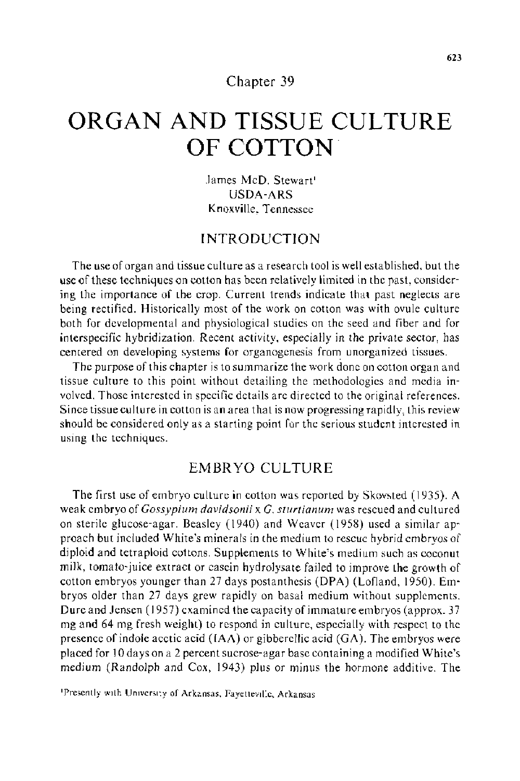#### Chapter 39

# **ORGAN AND TISSUE CULTURE OF COTTON.**

James McD. Stewart USDA-ARS Knoxville, Tennessee

# INTRODUCTION

The use of organ and tissue culture as a research tool is well established, but the use of these techniques on cotton has been relatively limited in the past, considering the importance of the crop. Current trends indicate that past neglects are being rectified. Historically most of the work on cotton was with ovule culture both for developmental and physiological studies on the seed and fiber and for interspecific hybridization. Recent activity, especially in the private sector, has centered on developing systems for organogenesis from unorganized tissues.

The purpose of this chapter is to summarize the work done on cotton organ and tissue culture to this point without detailing the methodologies and media involved. Those interested in specific details are directed to the original references. Since tissue culture in cotton is an area that is now progressing rapidly, this review should be considered only as a starting point for the serious student interested in using the techniques.

## EMBRYO CULTURE

The first use of embryo culture in cotton was reported by Skovsted ( 1935). A weak embryo of *Gossypium davidsonii* x *G. sturtianum* was rescued and cultured on sterile glucose-agar. Beasley (1940) and Weaver (1958) used a similar approach but included White's minerals in the medium to rescue hybrid embryos of diploid and tetraploid cottons. Supplements to White's medium such as coconut milk, tomato-juice extract or casein hydrolysate failed to improve the growth of cotton embryos younger than 27 days postanthesis (DPA) (Lofland, 1950). Embryos older than 27 days grew rapidly on basal medium without supplements. Dure and Jensen (1957) examined the capacity of immature embryos (approx. 37 mg and 64 mg fresh weight) to respond in culture, especially with respect to the presence of indole acetic acid  $(IAA)$  or gibberellic acid  $(GA)$ . The embryos were placed for 10 days on a 2 percent sucrose-agar base containing a modified White's medium (Randolph and Cox, 1943) plus or minus the hormone additive. The

<sup>&#</sup>x27;Presently with University of Arkansas, Fayetteville, Arkansas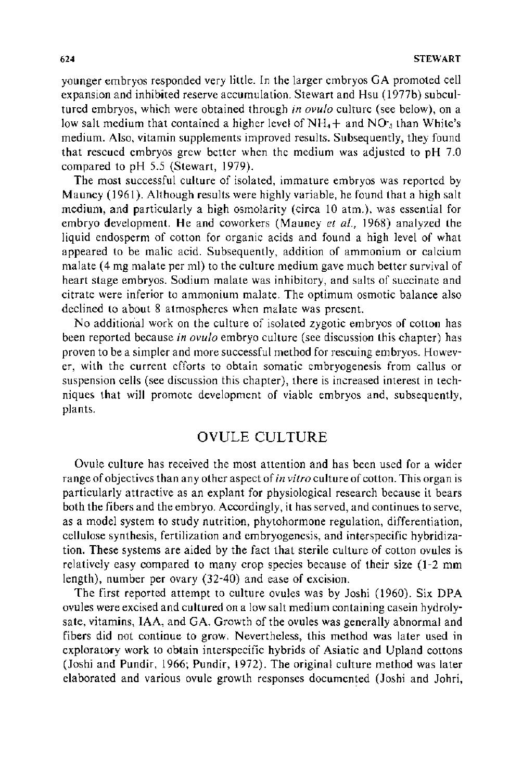younger embryos responded very little. In the larger embryos GA promoted cell expansion and inhibited reserve accumulation. Stewart and Hsu (1977b) subcultured embryos, which were obtained through *in ovufo* culture (see below), on a low salt medium that contained a higher level of  $NH<sub>4</sub> +$  and  $NO<sub>3</sub>$  than White's medium. Also, vitamin supplements improved results. Subsequently, they found that rescued embryos grew better when the medium was adjusted to pH 7.0 compared to pH 5.5 (Stewart, 1979).

The most successful culture of isolated, immature embryos was reported by Mauney (1961). Although results were highly variable, he found that a high salt medium, and particularly a high osmolarity (circa 10 atm.), was essential for embryo development. He and coworkers (Mauney *et a!.,* 1968) analyzed the liquid endosperm of cotton for organic acids and found a high level of what appeared to be malic acid. Subsequently, addition of ammonium or calcium malate (4 mg malate per ml) to the culture medium gave much better survival of heart stage embryos. Sodium malate was inhibitory, and salts of succinate and citrate were inferior to ammonium malate. The optimum osmotic balance also declined to about 8 atmospheres when malate was present.

No additional work on the culture of isolated zygotic embryos of cotton has been reported because *in ovulo* embryo culture (see discussion this chapter) has proven to be a simpler and more successful method for rescuing embryos. However, with the current efforts to obtain somatic embryogenesis from callus or suspension cells (see discussion this chapter), there is increased interest in techniques that will promote development of viable embryos and, subsequently, plants.

## OVULE CULTURE

Ovule culture has received the most attention and has been used for a wider range of objectives than any other aspect of *in vitro* culture of cotton. This organ is particularly attractive as an explant for physiological research because it bears both the fibers and the embryo. Accordingly, it has served, and continues to serve, as a model system to study nutrition, phytohormone regulation, differentiation, cellulose synthesis, fertilization and embryogenesis, and interspecific hybridization. These systems are aided by the fact that sterile culture of cotton ovules is relatively easy compared to many crop species because of their size (1-2 mm length), number per ovary (32-40) and ease of excision.

The first reported attempt to culture ovules was by Joshi (1960). Six DPA ovules were excised and cultured on a low salt medium containing casein hydrolysate, vitamins, IAA, and GA. Growth of the ovules was generally abnormal and fibers did not continue to grow. Nevertheless, this method was later used in exploratory work to obtain interspecific hybrids of Asiatic and Upland cottons (Joshi and Pundir, 1966; Pundir, 1972). The original culture method was later elaborated and various ovule growth responses documented (Joshi and Johri,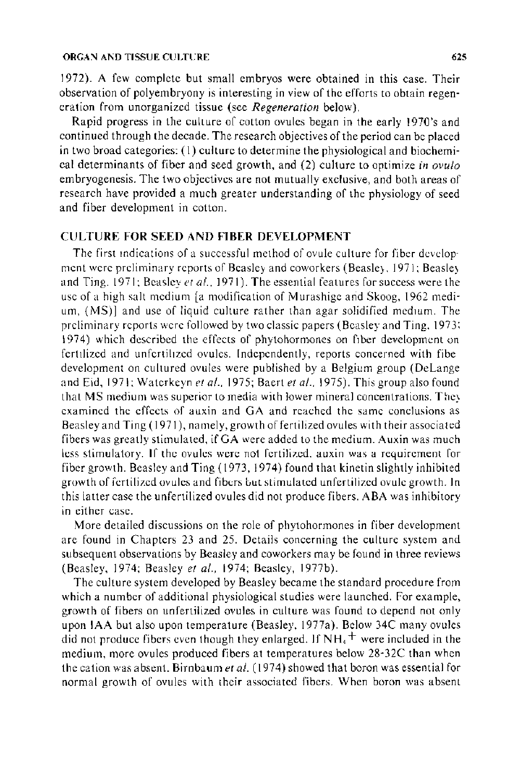#### ORGAN AND TISSUE CULTURE **625** 625

1972). A few complete but small embryos were obtained in this case. Their observation of polyembryony is interesting in view of the efforts to obtain regeneration from unorganized tissue (see *Regeneration* below).

Rapid progress in the culture of cotton ovules began in the early 1970's and continued through the decade. The research objectives of the period can be placed in two broad categories: (I) culture to determine the physiological and biochemical determinants of fiber and seed growth, and (2) culture to optimize *in ovulo*  embryogenesis. The two objectives are not mutually exclusive, and both areas of research have provided a much greater understanding of the physiology of seed and fiber development in cotton.

#### CULTURE FOR SEED AND FIBER DEVELOPMENT

The first mdications of a successful method of ovule culture for fiber develop· ment were preliminary reports of Beasley and coworkers (Beasle;. 1971; Beasle; and Ting. 1971; Beasley *et al.*, 1971). The essential features for success were the usc of a high salt medium [a modification of Murashigc arid Skoog, 1962 medium, (MS)] and use of liquid culture rather than agar solidified medium. The preliminary reports were followed by two classic papers (Beasley and Ting. 1973: 1974) which described the effects of phytohormones on fiber development on fertilized and unfertilized ovules. Independently, reports concerned with fibe development on cultured ovules were published by a Belgium group (DeLange and Eid, 1971; Waterkeyn *et al.*, 1975; Baert *et al.*, 1975). This group also found that MS medium was superior to media with lower mineral concentrations. The) examined the effects of auxin and GA and reached the same conclusions as Beasley and Ting ( 1971), namely, growth of fertilized ovules with their associated fibers was greatly stimulated, ifGA were added to the medium. Auxin was much less stimulatory. If the ovules were not fertilized. auxin was a requirement for fiber growth. Beasley and Ting ( 1973, 1974) found that kinetin slightly inhibited growth of fertilized ovules and fibtrs but stimulated unfertilized ovule growth. In this latter case the unfertilized ovules did not produce fibers. ABA was inhibitory in either case.

More detailed discussions on the role of phytohormones in fiber development are found in Chapters 23 and 25. Details concerning the culture system and subsequent observations by Beasley and coworkers may be found in three reviews (Beasley, 1974; Beasley *et a!.,* 1974; Beasley, 1977b).

The culture system developed by Beasley became the standard procedure from which a number of additional physiological studies were launched. For example, growth of fibers on unfertilized ovules in culture was found to depend not only upon IAA but also upon temperature (Beasley, 1977a). Below 34C many ovules did not produce fibers even though they enlarged. If  $NH<sub>4</sub>$  were included in the medium, more ovules produced fibers at temperatures below 28-32C than when the cation was absent. Birnbaum *eta/.* (1974) showed that boron was essential for normal growth of ovules with their associated fibers. When boron was absent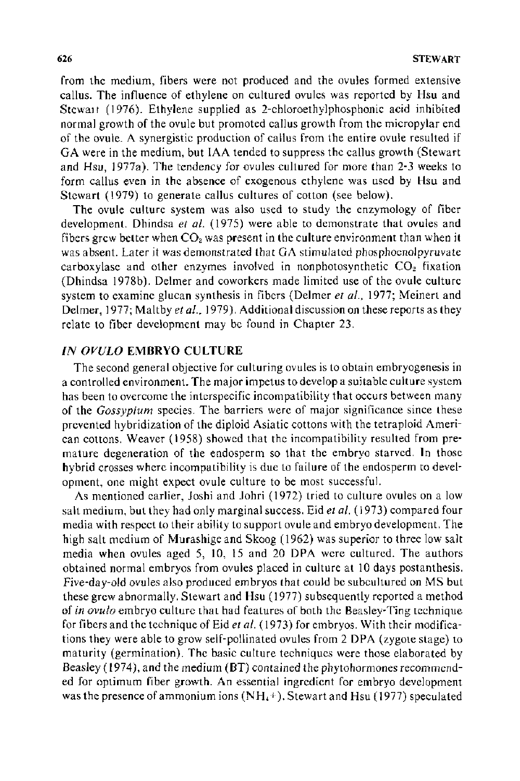from the medium, fibers were not produced and the ovules formed extensive callus. The influence of ethylene on cultured ovules was reported by Hsu and Stewa1t (1976). Ethylene supplied as 2-chloroethylphosphonic acid inhibited normal growth of the ovule but promoted callus growth from the micropylar end of the ovule. A synergistic production of callus from the entire ovule resulted if GA were in the medium, but lAA tended to suppress the callus growth (Stewart and Hsu, 1977a). The tendency for ovules cultured for more than 2-3 weeks to form callus even in the absence of exogenous ethylene was used by Hsu and Stewart (1979) to generate callus cultures of cotton (see below).

The ovule culture system was also used to study the enzymology of fiber development. Dhindsa *et a/.* (1975) were able to demonstrate that ovules and fibers grew better when  $CO<sub>2</sub>$  was present in the culture environment than when it was absent. Later it was demonstrated that GA stimulated phosphoenolpyruvate carboxylase and other enzymes involved in nonphotosynthetic  $CO<sub>2</sub>$  fixation (Dhindsa 1978b). Delmer and coworkers made limited use of the ovule culture system to examine glucan synthesis in fibers (Delmer *et al.,* 1977; Meinert and Delmer, 1977; Maltby *et al.*, 1979). Additional discussion on these reports as they relate to fiber development may be found in Chapter 23.

#### *IN OVULO* **EMBRYO** CULTURE

The second general objective for culturing ovules is to obtain embryogenesis in a controlled environment. The major impetus to develop a suitable culture system has been to overcome the interspecific incompatibility that occurs between many of the *Gossypium* species. The barriers were of major significance since these prevented hybridization of the diploid Asiatic cottons with the tetraploid American cottons. Weaver (1958) showed that the incompatibility resulted from premature degeneration of the endosperm so that the embryo starved. In those hybrid crosses where incompatibility is due to failure of the endosperm to development, one might expect ovule culture to be most successful.

As mentioned earlier, Joshi and Johri (1972) tried to culture ovules on a low salt medium, but they had only marginal success. Eid *eta/.* ( 1973) compared four media with respect to their ability to support ovule and embryo development. The high salt medium of Murashige and Skoog ( 1962) was superior to three low salt media when ovules aged 5, 10, 15 and 20 DPA were cultured. The authors obtained normal embryos from ovules placed in culture at 10 days postanthesis. Five-day-old ovules also produced embryos that could be subcultured on MS but these grew abnormally. Stewart and Hsu ( 1977) subsequently reported a method of *in ovulo* embryo culture that had features of both the Beasley-Ting technique for fibers and the technique of Eid *eta/.* ( 1973) for embryos. With their modifications they were able to grow self-pollinated ovules from 2 DPA (zygote stage) to maturity (germination). The basic culture techniques were those elaborated by Beasley (1974), and the medium (BT) contained the phytohormones recommended for optimum fiber growth. An essential ingredient for embryo development was the presence of ammonium ions  $(NH<sub>4</sub>+)$ . Stewart and Hsu (1977) speculated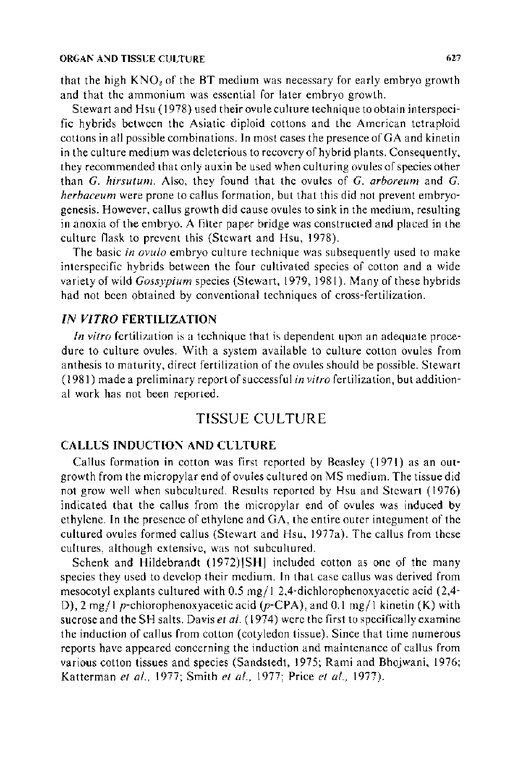#### ORGAN AND TISSUE CULTURE 627

that the high  $KNO<sub>3</sub>$  of the BT medium was necessary for early embryo growth and that the ammonium was essential for later embryo growth.

Stewart and Hsu ( 1978) used their ovule culture technique to obtain interspecific hybrids between the Asiatic diploid cottons and the American tetraploid cottons in all possible combinations. In most cases the presence of GA and kinetin in the culture medium was deleterious to recovery of hybrid plants. Consequently, they recommended that only auxin be used when culturing ovules of species other than *G. hirsutum.* Also, they found that the ovules of *G. arboreum* and *G. herbaceum* were prone to callus formation, but that this did not prevent embryogenesis. However, callus growth did cause ovules to sink in the medium, resulting in anoxia of the embryo. A filter paper bridge was constructed and placed in the culture flask to prevent this (Stewart and Hsu, 1978).

The basic *in ovulo* embryo culture technique was subsequently used to make interspecific hybrids between the four cultivated species of cotton and a wide variety of wild *Gossypium* species (Stewart, 1979, 1981 ). Many of these hybrids had not been obtained by conventional techniques of cross-fertilization.

#### *IN VITRO* **FERTILIZATION**

*In vitro* fertilization is a technique that is dependent upon an adequate procedure to culture ovules. With a system available to culture cotton ovules from anthesis to maturity, direct fertilization of the ovules should be possible. Stewart ( 1981) made a preliminary report of successful *in vitro* fertilization, but additional work has not been reported.

## TISSUE CULTURE

#### **CALLUS INDUCTION AND CULTURE**

Callus formation in cotton was first reported by Beasley ( 1971) as an outgrowth from the micropylar end of ovules cultured on MS medium. The tissue did not grow well when subcultured. Results reported by Hsu and Stewart (1976) indicated that the callus from the micropylar end of ovules was induced by ethylene. In the presence of ethylene and  $GA$ , the entire outer integument of the cultured ovules formed callus (Stewart and Hsu, 1977a). The callus from these cultures, although extensive, was not subcultured.

Schenk and Hildebrandt (1972)[SH] included cotton as one of the many species they used to develop their medium. In that case callus was derived from mesocotyl explants cultured with  $0.5 \text{ mg}/12.4$ -dichlorophenoxyacetic acid  $(2.4$ -D), 2 mg/1 p-chlorophenoxyacetic acid (p-CPA), and 0.1 mg/1 kinetin (K) with sucrose and the SH salts. Davis *eta/.* ( 1974) were the first to specifically examine the induction of callus from cotton (cotyledon tissue). Since that time numerous reports have appeared concerning the induction and maintenance of callus from various cotton tissues and species (Sandstedt, 1975; Rami and Bhojwani, 1976; Katterman *et a/.,* 1977; Smith *et a/.,* 1977; Price *et a/.,* 1977).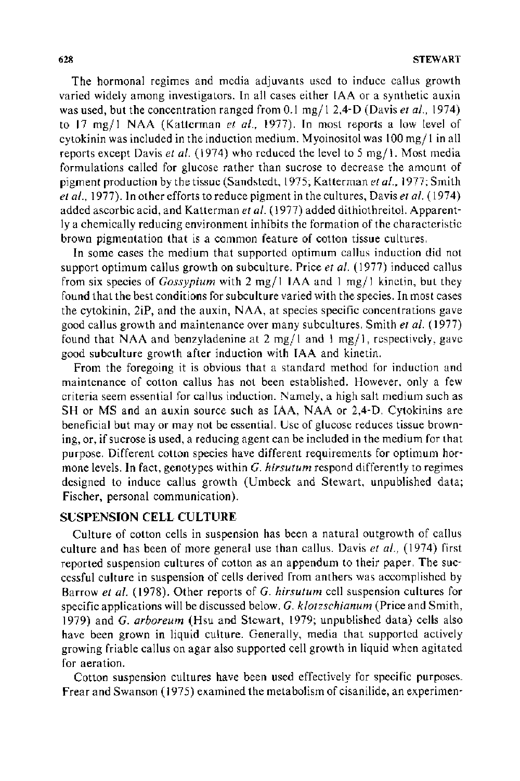The hormonal regimes and media adjuvants used to induce callus growth varied widely among investigators. In all cases either IAA or a synthetic auxin was used, but the concentration ranged from 0.1 mg/1 2,4-D (Davis *et al.*, 1974) to 17 mg/1 NAA (Katterman *et a!.,* 1977). Jn most reports a low level of cytokinin was included in the induction medium. Myoinositol was I 00 *mgj* I in all reports except Davis *et al.* (1974) who reduced the level to 5 mg/1. Most media formulations called for glucose rather than sucrose to decrease the amount of pigment production by the tissue (Sandstedt, 1975; Katterman *eta!.,* 1977; Smith *eta/.,* 1977). In other efforts to reduce pigment in the cultures, Davis *eta!.* ( 1974) added ascorbic acid, and Katterman *eta/.* ( 1977) added dithiothreitol. Apparently a chemically reducing environment inhibits the formation of the characteristic brown pigmentation that is a common feature of cotton tissue cultures.

In some cases the medium that supported optimum callus induction did not support optimum callus growth on subculture. Price *eta!.* ( 1977) induced callus from six species of *Gossypium* with 2 *mgj* 1 IAA and 1 mg/ I kinetin, but they found that the best conditions for subculture varied with the species. In most cases the cytokinin, 2iP, and the auxin, NAA, at species specific concentrations gave good callus growth and maintenance over many subcultures. Smith *eta!.* ( 1977) found that NAA and benzyladenine at 2 mg/1 and 1 mg/1, respectively, gave good subculture growth after induction with IAA and kinetin.

From the foregoing it is obvious that a standard method for induction and maintenance of cotton callus has not been established. However, only a few criteria seem essential for callus induction. Namely, a high salt medium such as SH or MS and an auxin source such as IAA, NAA or 2,4-D. Cytokinins are beneficial but may or may not be essential. Use of glucose reduces tissue browning, or, if sucrose is used, a reducing agent can be included in the medium for that purpose. Different cotton species have different requirements for optimum hormone levels. In fact, genotypes within *G. hirsutum* respond differently to regimes designed to induce callus growth (Umbeck and Stewart, unpublished data; Fischer, personal communication).

## SUSPENSION CELL CULTURE

Culture of cotton cells in suspension has been a natural outgrowth of callus culture and has been of more general use than callus. Davis *eta!.,* (1974) first reported suspension cultures of cotton as an appendum to their paper. The successful culture in suspension of cells derived from anthers was accomplished by Barrow *eta!.* (1978). Other reports of *G. hirsutum* cell suspension cultures for specific applications will be discussed below. *G. klotzschianum* (Price and Smith, 1979) and *G. arboreum* (Hsu and Stewart, 1979; unpublished data) cells also have been grown in liquid culture. Generally, media that supported actively growing friable callus on agar also supported cell growth in liquid when agitated for aeration.

Cotton suspension cultures have been used effectively for specific purposes. Frear and Swanson (1975) examined the metabolism of cisanilide, an experimen-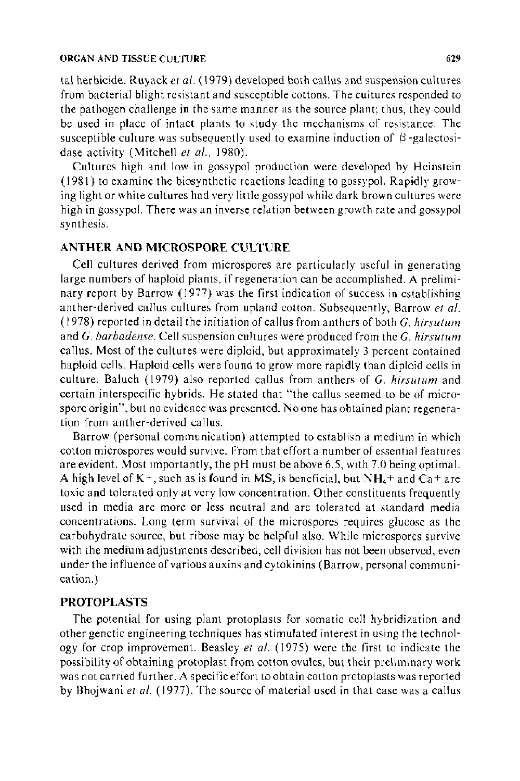#### ORGAN AND TISSUE CULTURE 629

tal herbicide. Ruyack *et al.* ( 1979) developed both callus and suspension cultures from bacterial blight resistant and susceptible cottons. The cultures responded to the pathogen challenge in the same manner as the source plant; thus, they could be used in place of intact plants to study the mechanisms of resistance. The susceptible culture was subsequently used to examine induction of  $\beta$ -galactosidase activity (Mitchell et al., 1980).

Cultures high and low in gossypol production were developed by Heinstein ( 1981) to examine the biosynthetic reactions leading to gossypol. Rapidly growing light or white cultures had very little gossypol while dark brown cultures were high in gossypol. There was an inverse relation between growth rate and gossypol synthesis.

#### **ANTHER AND MICROSPORE CULTURE**

Cell cultures derived from microspores are particularly useful in generating large numbers of haploid plants, if regeneration can be accomplished. A preliminary report by Barrow ( 1977) was the first indication of success in establishing anther-derived callus cultures from upland cotton. Subsequently, Barrow *et a/.*  (1978) reported in detail the initiation of callus from anthers of both *G. hirsutum*  and *G. barbadense.* Cell suspension cultures were produced from the *G. hirsutum*  callus. Most of the cultures were diploid, but approximately 3 percent contained haploid cells. Haploid cells were found to grow more rapidly than diploid cells in culture. Baluch ( 1979) also reported callus from anthers of *G. hirsutum* and certain interspecific hybrids. He stated that "the callus seemed to be of microspore origin", but no evidence was presented. No one has obtained plant regeneration from anther-derived callus.

Barrow (personal communication) attempted to establish a medium in which cotton microspores would survive. From that effort a number of essential features are evident. Most importantly, the pH must be above 6.5, with 7.0 being optimal. A high level of  $K<sub>+</sub>$ , such as is found in MS, is beneficial, but  $NH<sub>4</sub>$  + and Ca + are toxic and tolerated only at very low concentration. Other constituents frequently used in media are more or less neutral and are tolerated at standard media concentrations. Long term survival of the microspores requires glucose as the carbohydrate source, but ribose may be helpful also. While microspores survive with the medium adjustments described, cell division has not been observed, even under the influence of various auxins and cytokinins (Barrow, personal communication.)

#### **PROTOPLASTS**

The potential for using plant protoplasts for somatic cell hybridization and other genetic engineering techniques has stimulated interest in using the technology for crop improvement. Beasley *et al.* (1975) were the first to indicate the possibility of obtaining protoplast from cotton ovules, but their preliminary work was not carried further. A specific effort to obtain cotton protoplasts was reported by Bhojwani *eta!.* (1977). The source of material used in that case was a callus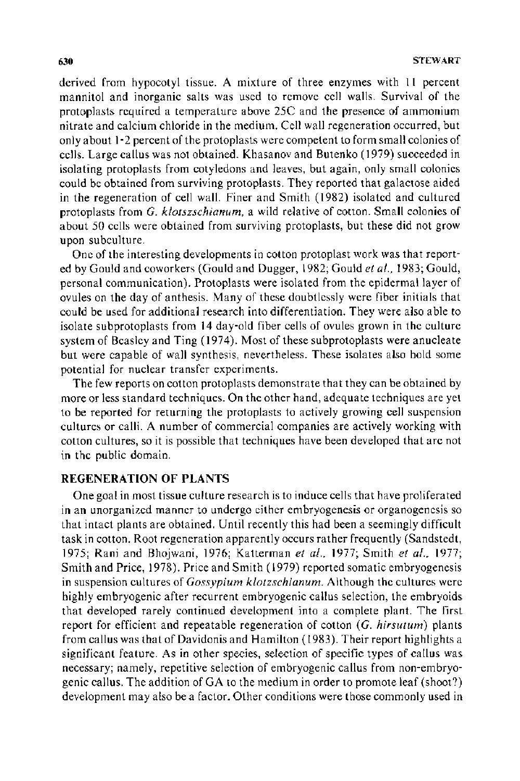derived from hypocotyl tissue. A mixture of three enzymes with 11 percent mannitol and inorganic salts was used to remove cell walls. Survival of the protoplasts required a temperature above 25C and the presence of ammonium nitrate and calcium chloride in the medium. Cell wall regeneration occurred, but only about 1-2 percent of the protoplasts were competent to form small colonies of cells. Large callus was not obtained. Khasanov and Butenko ( 1979) succeeded in isolating protoplasts from cotyledons and leaves, but again, only small colonies could be obtained from surviving protoplasts. They reported that galactose aided in the regeneration of cell wall. Finer and Smith ( 1982) isolated and cultured protoplasts from *G. klotszschianum,* a wild relative of cotton. Small colonies of about 50 cells were obtained from surviving protoplasts, but these did not grow upon subculture.

One of the interesting developments in cotton protoplast work was that reported by Gould and coworkers (Gould and Dugger, 1982; Gould *et al.,* 1983; Gould, personal communication). Protoplasts were isolated from the epidermal layer of ovules on the day of anthesis. Many of these doubtlessly were fiber initials that could be used for additional research into differentiation. They were also able to isolate subprotoplasts from 14 day-old fiber cells of ovules grown in the culture system of Beasley and Ting ( 1974). Most of these subprotoplasts were anucleate but were capable of wall synthesis, nevertheless. These isolates also hold some potential for nuclear transfer experiments.

The few reports on cotton protoplasts demonstrate that they can be obtained by more or less standard techniques. On the other hand, adequate techniques are yet to be reported for returning the protoplasts to actively growing cell suspension cultures or calli. A number of commercial companies are actively working with cotton cultures, so it is possible that techniques have been developed that are not in the public domain.

#### **REGENERATION OF PLANTS**

One goal in most tissue culture research is to induce cells that have proliferated in an unorganized manner to undergo either embryogenesis or organogenesis so that intact plants are obtained. Until recently this had been a seemingly difficult task in cotton. Root regeneration apparently occurs rather frequently (Sandstedt, 1975; Rani and Bhojwani, 1976; Katterman *et al.,* 1977; Smith *et al.,* 1977; Smith and Price, 1978). Price and Smith ( 1979) reported somatic embryogenesis in suspension cultures of *Gossypium klotzschianum.* Although the cultures were highly embryogenic after recurrent embryogenic callus selection, the embryoids that developed rarely continued development into a complete plant. The first report for efficient and repeatable regeneration of cotton (G. *hirsutum)* plants from callus was that of Davidonis and Hamilton ( 1983 ). Their report highlights a significant feature. As in other species, selection of specific types of callus was necessary; namely, repetitive selection of embryogenic callus from non-embryogenic callus. The addition of GA to the medium in order to promote leaf (shoot?) development may also be a factor. Other conditions were those commonly used in